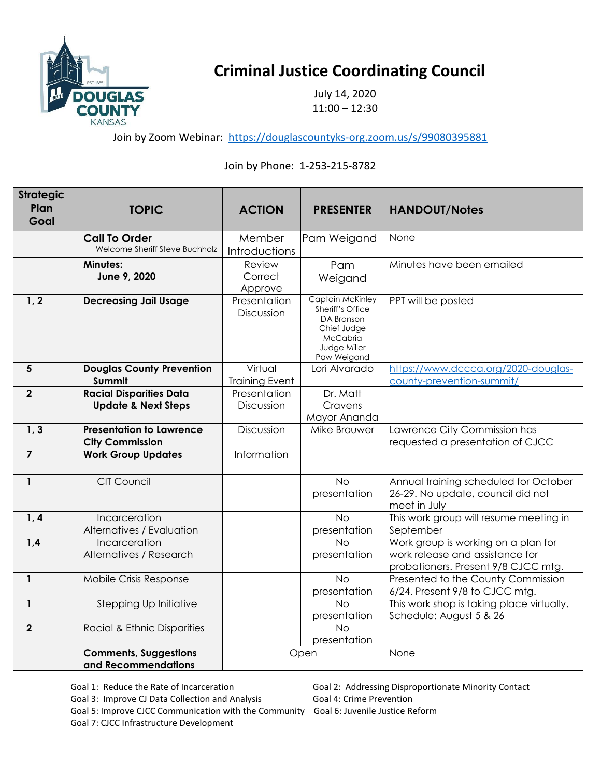

## **Criminal Justice Coordinating Council**

July 14, 2020 11:00 – 12:30

Join by Zoom Webinar: <https://douglascountyks-org.zoom.us/s/99080395881>

## Join by Phone: 1-253-215-8782

| <b>Strategic</b><br>Plan | <b>TOPIC</b>                                                     | <b>ACTION</b>                    | <b>PRESENTER</b>                                                                                             | <b>HANDOUT/Notes</b>                                                                                          |
|--------------------------|------------------------------------------------------------------|----------------------------------|--------------------------------------------------------------------------------------------------------------|---------------------------------------------------------------------------------------------------------------|
| Goal                     |                                                                  |                                  |                                                                                                              |                                                                                                               |
|                          | <b>Call To Order</b><br>Welcome Sheriff Steve Buchholz           | Member<br>Introductions          | Pam Weigand                                                                                                  | None                                                                                                          |
|                          | <b>Minutes:</b><br>June 9, 2020                                  | Review<br>Correct<br>Approve     | Pam<br>Weigand                                                                                               | Minutes have been emailed                                                                                     |
| 1, 2                     | <b>Decreasing Jail Usage</b>                                     | Presentation<br>Discussion       | Captain McKinley<br>Sheriff's Office<br>DA Branson<br>Chief Judge<br>McCabria<br>Judge Miller<br>Paw Weigand | PPT will be posted                                                                                            |
| $5\phantom{1}$           | <b>Douglas County Prevention</b><br>Summit                       | Virtual<br><b>Training Event</b> | Lori Alvarado                                                                                                | https://www.dccca.org/2020-douglas-<br>county-prevention-summit/                                              |
| $\overline{2}$           | <b>Racial Disparities Data</b><br><b>Update &amp; Next Steps</b> | Presentation<br>Discussion       | Dr. Matt<br>Cravens<br>Mayor Ananda                                                                          |                                                                                                               |
| 1, 3                     | <b>Presentation to Lawrence</b><br><b>City Commission</b>        | Discussion                       | Mike Brouwer                                                                                                 | Lawrence City Commission has<br>requested a presentation of CJCC                                              |
| $\overline{\phantom{a}}$ | <b>Work Group Updates</b>                                        | Information                      |                                                                                                              |                                                                                                               |
| $\mathbf{1}$             | <b>CIT Council</b>                                               |                                  | <b>No</b><br>presentation                                                                                    | Annual training scheduled for October<br>26-29. No update, council did not<br>meet in July                    |
| 1, 4                     | Incarceration<br>Alternatives / Evaluation                       |                                  | <b>No</b><br>presentation                                                                                    | This work group will resume meeting in<br>September                                                           |
| 1,4                      | Incarceration<br>Alternatives / Research                         |                                  | <b>No</b><br>presentation                                                                                    | Work group is working on a plan for<br>work release and assistance for<br>probationers. Present 9/8 CJCC mtg. |
| $\mathbf{1}$             | Mobile Crisis Response                                           |                                  | <b>No</b><br>presentation                                                                                    | Presented to the County Commission<br>6/24. Present 9/8 to CJCC mtg.                                          |
| $\mathbf{1}$             | Stepping Up Initiative                                           |                                  | N <sub>O</sub><br>presentation                                                                               | This work shop is taking place virtually.<br>Schedule: August 5 & 26                                          |
| $\overline{2}$           | Racial & Ethnic Disparities                                      |                                  | <b>No</b><br>presentation                                                                                    |                                                                                                               |
|                          | <b>Comments, Suggestions</b><br>and Recommendations              | Open                             |                                                                                                              | None                                                                                                          |

Goal 3: Improve CJ Data Collection and Analysis Goal 4: Crime Prevention

Goal 5: Improve CJCC Communication with the Community Goal 6: Juvenile Justice Reform Goal 7: CJCC Infrastructure Development

Goal 1: Reduce the Rate of Incarceration Goal 2: Addressing Disproportionate Minority Contact